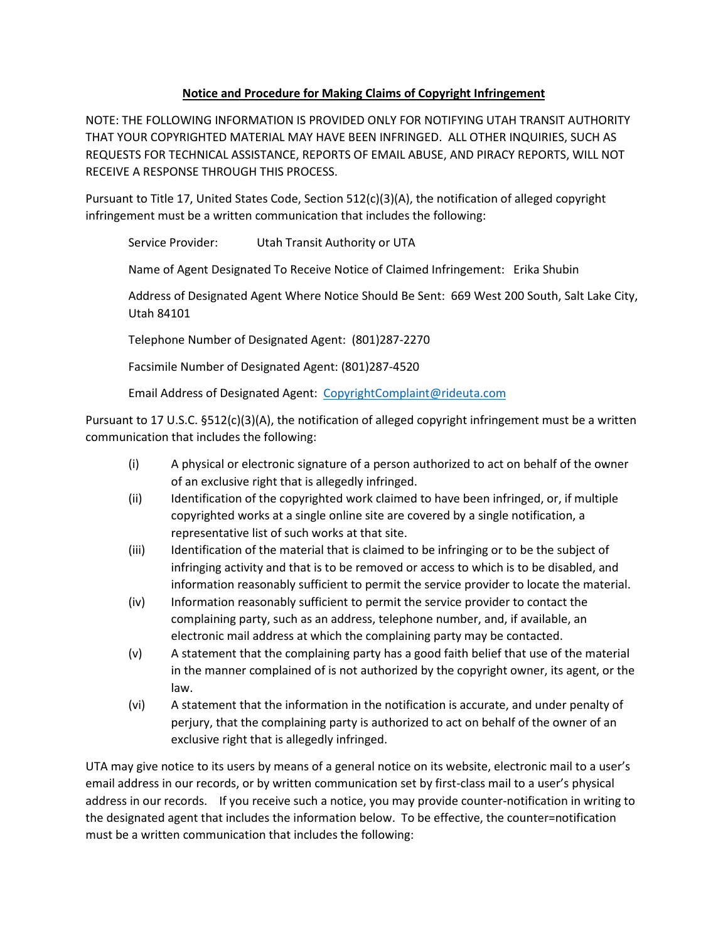## **Notice and Procedure for Making Claims of Copyright Infringement**

NOTE: THE FOLLOWING INFORMATION IS PROVIDED ONLY FOR NOTIFYING UTAH TRANSIT AUTHORITY THAT YOUR COPYRIGHTED MATERIAL MAY HAVE BEEN INFRINGED. ALL OTHER INQUIRIES, SUCH AS REQUESTS FOR TECHNICAL ASSISTANCE, REPORTS OF EMAIL ABUSE, AND PIRACY REPORTS, WILL NOT RECEIVE A RESPONSE THROUGH THIS PROCESS.

Pursuant to Title 17, United States Code, Section 512(c)(3)(A), the notification of alleged copyright infringement must be a written communication that includes the following:

Service Provider: Utah Transit Authority or UTA

Name of Agent Designated To Receive Notice of Claimed Infringement: Erika Shubin

Address of Designated Agent Where Notice Should Be Sent: 669 West 200 South, Salt Lake City, Utah 84101

Telephone Number of Designated Agent: (801)287-2270

Facsimile Number of Designated Agent: (801)287-4520

Email Address of Designated Agent: CopyrightComplaint@rideuta.com

Pursuant to 17 U.S.C. §512(c)(3)(A), the notification of alleged copyright infringement must be a written communication that includes the following:

- (i) A physical or electronic signature of a person authorized to act on behalf of the owner of an exclusive right that is allegedly infringed.
- (ii) Identification of the copyrighted work claimed to have been infringed, or, if multiple copyrighted works at a single online site are covered by a single notification, a representative list of such works at that site.
- (iii) Identification of the material that is claimed to be infringing or to be the subject of infringing activity and that is to be removed or access to which is to be disabled, and information reasonably sufficient to permit the service provider to locate the material.
- (iv) Information reasonably sufficient to permit the service provider to contact the complaining party, such as an address, telephone number, and, if available, an electronic mail address at which the complaining party may be contacted.
- (v) A statement that the complaining party has a good faith belief that use of the material in the manner complained of is not authorized by the copyright owner, its agent, or the law.
- (vi) A statement that the information in the notification is accurate, and under penalty of perjury, that the complaining party is authorized to act on behalf of the owner of an exclusive right that is allegedly infringed.

UTA may give notice to its users by means of a general notice on its website, electronic mail to a user's email address in our records, or by written communication set by first-class mail to a user's physical address in our records. If you receive such a notice, you may provide counter-notification in writing to the designated agent that includes the information below. To be effective, the counter=notification must be a written communication that includes the following: